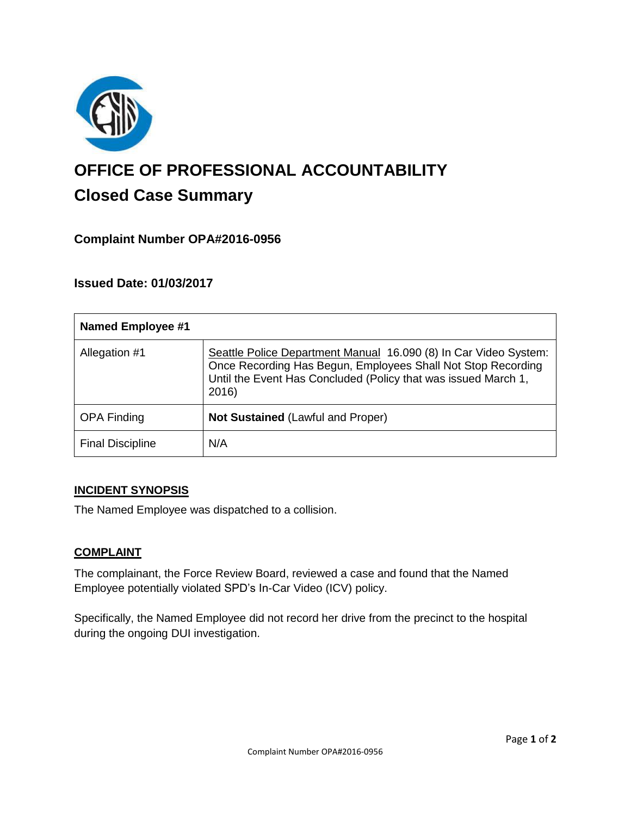

# **OFFICE OF PROFESSIONAL ACCOUNTABILITY Closed Case Summary**

# **Complaint Number OPA#2016-0956**

## **Issued Date: 01/03/2017**

| <b>Named Employee #1</b> |                                                                                                                                                                                                             |
|--------------------------|-------------------------------------------------------------------------------------------------------------------------------------------------------------------------------------------------------------|
| Allegation #1            | Seattle Police Department Manual 16.090 (8) In Car Video System:<br>Once Recording Has Begun, Employees Shall Not Stop Recording<br>Until the Event Has Concluded (Policy that was issued March 1,<br>2016) |
| <b>OPA Finding</b>       | <b>Not Sustained (Lawful and Proper)</b>                                                                                                                                                                    |
| <b>Final Discipline</b>  | N/A                                                                                                                                                                                                         |

#### **INCIDENT SYNOPSIS**

The Named Employee was dispatched to a collision.

#### **COMPLAINT**

The complainant, the Force Review Board, reviewed a case and found that the Named Employee potentially violated SPD's In-Car Video (ICV) policy.

Specifically, the Named Employee did not record her drive from the precinct to the hospital during the ongoing DUI investigation.